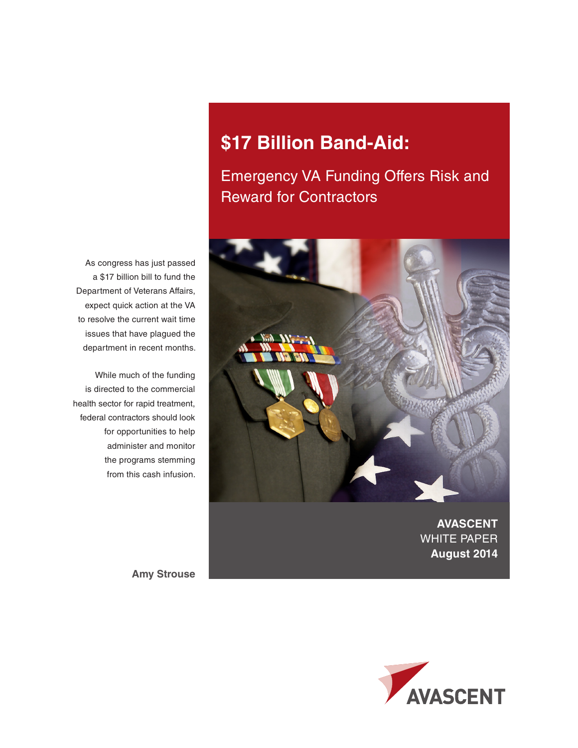# **\$17 Billion Band-Aid:**

# Emergency VA Funding Offers Risk and Reward for Contractors



**AVASCENT**  WHITE PAPER **August 2014**

As congress has just passed a \$17 billion bill to fund the Department of Veterans Affairs, expect quick action at the VA to resolve the current wait time issues that have plagued the department in recent months.

While much of the funding is directed to the commercial health sector for rapid treatment, federal contractors should look for opportunities to help administer and monitor the programs stemming from this cash infusion.

**Amy Strouse**

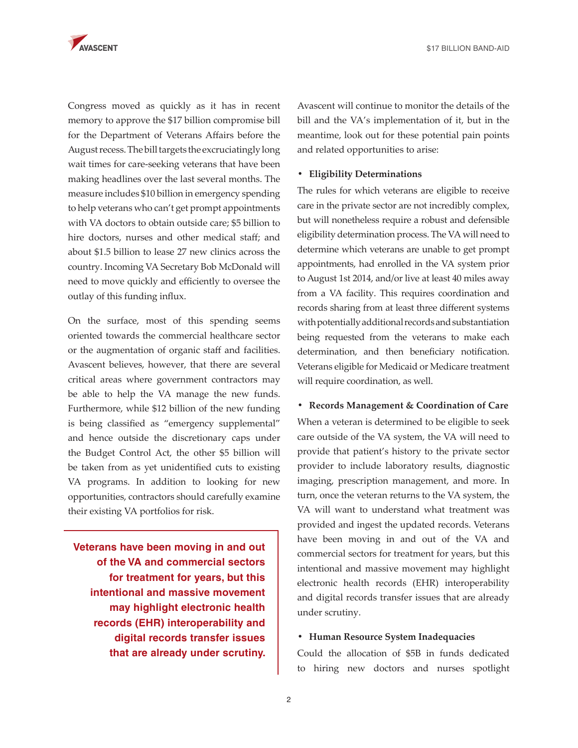

Congress moved as quickly as it has in recent memory to approve the \$17 billion compromise bill for the Department of Veterans Affairs before the August recess. The bill targets the excruciatingly long wait times for care-seeking veterans that have been making headlines over the last several months. The measure includes \$10 billion in emergency spending to help veterans who can't get prompt appointments with VA doctors to obtain outside care; \$5 billion to hire doctors, nurses and other medical staff; and about \$1.5 billion to lease 27 new clinics across the country. Incoming VA Secretary Bob McDonald will need to move quickly and efficiently to oversee the outlay of this funding influx.

On the surface, most of this spending seems oriented towards the commercial healthcare sector or the augmentation of organic staff and facilities. Avascent believes, however, that there are several critical areas where government contractors may be able to help the VA manage the new funds. Furthermore, while \$12 billion of the new funding is being classified as "emergency supplemental" and hence outside the discretionary caps under the Budget Control Act, the other \$5 billion will be taken from as yet unidentified cuts to existing VA programs. In addition to looking for new opportunities, contractors should carefully examine their existing VA portfolios for risk.

**Veterans have been moving in and out of the VA and commercial sectors for treatment for years, but this intentional and massive movement may highlight electronic health records (EHR) interoperability and digital records transfer issues that are already under scrutiny.**

Avascent will continue to monitor the details of the bill and the VA's implementation of it, but in the meantime, look out for these potential pain points and related opportunities to arise:

### **• Eligibility Determinations**

The rules for which veterans are eligible to receive care in the private sector are not incredibly complex, but will nonetheless require a robust and defensible eligibility determination process. The VA will need to determine which veterans are unable to get prompt appointments, had enrolled in the VA system prior to August 1st 2014, and/or live at least 40 miles away from a VA facility. This requires coordination and records sharing from at least three different systems with potentially additional records and substantiation being requested from the veterans to make each determination, and then beneficiary notification. Veterans eligible for Medicaid or Medicare treatment will require coordination, as well.

**• Records Management & Coordination of Care** When a veteran is determined to be eligible to seek care outside of the VA system, the VA will need to provide that patient's history to the private sector provider to include laboratory results, diagnostic imaging, prescription management, and more. In turn, once the veteran returns to the VA system, the VA will want to understand what treatment was provided and ingest the updated records. Veterans have been moving in and out of the VA and commercial sectors for treatment for years, but this intentional and massive movement may highlight electronic health records (EHR) interoperability and digital records transfer issues that are already under scrutiny.

# **• Human Resource System Inadequacies**

Could the allocation of \$5B in funds dedicated to hiring new doctors and nurses spotlight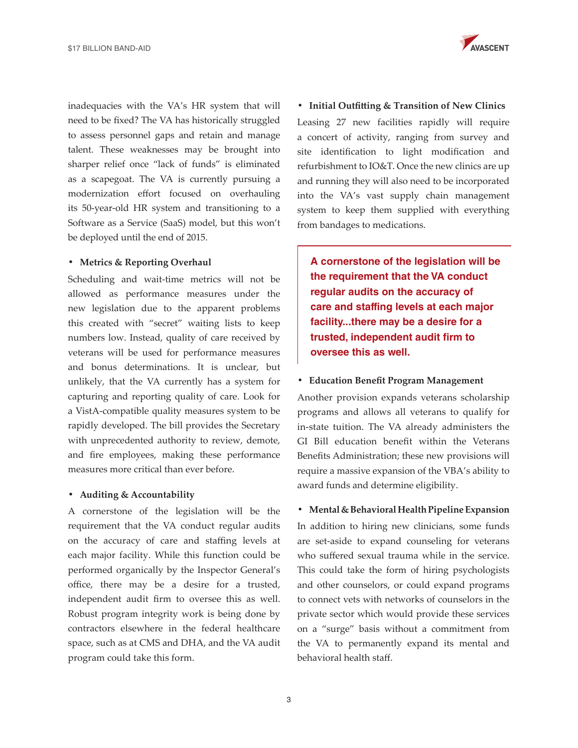inadequacies with the VA's HR system that will need to be fixed? The VA has historically struggled to assess personnel gaps and retain and manage talent. These weaknesses may be brought into sharper relief once "lack of funds" is eliminated as a scapegoat. The VA is currently pursuing a modernization effort focused on overhauling its 50-year-old HR system and transitioning to a Software as a Service (SaaS) model, but this won't be deployed until the end of 2015.

# **• Metrics & Reporting Overhaul**

Scheduling and wait-time metrics will not be allowed as performance measures under the new legislation due to the apparent problems this created with "secret" waiting lists to keep numbers low. Instead, quality of care received by veterans will be used for performance measures and bonus determinations. It is unclear, but unlikely, that the VA currently has a system for capturing and reporting quality of care. Look for a VistA-compatible quality measures system to be rapidly developed. The bill provides the Secretary with unprecedented authority to review, demote, and fire employees, making these performance measures more critical than ever before.

#### **• Auditing & Accountability**

A cornerstone of the legislation will be the requirement that the VA conduct regular audits on the accuracy of care and staffing levels at each major facility. While this function could be performed organically by the Inspector General's office, there may be a desire for a trusted, independent audit firm to oversee this as well. Robust program integrity work is being done by contractors elsewhere in the federal healthcare space, such as at CMS and DHA, and the VA audit program could take this form.



**• Initial Outfitting & Transition of New Clinics** Leasing 27 new facilities rapidly will require a concert of activity, ranging from survey and site identification to light modification and refurbishment to IO&T. Once the new clinics are up and running they will also need to be incorporated into the VA's vast supply chain management system to keep them supplied with everything from bandages to medications.

**A cornerstone of the legislation will be the requirement that the VA conduct regular audits on the accuracy of care and staffing levels at each major facility...there may be a desire for a trusted, independent audit firm to oversee this as well.**

#### **• Education Benefit Program Management**

Another provision expands veterans scholarship programs and allows all veterans to qualify for in-state tuition. The VA already administers the GI Bill education benefit within the Veterans Benefits Administration; these new provisions will require a massive expansion of the VBA's ability to award funds and determine eligibility.

#### **• Mental & Behavioral Health Pipeline Expansion**

In addition to hiring new clinicians, some funds are set-aside to expand counseling for veterans who suffered sexual trauma while in the service. This could take the form of hiring psychologists and other counselors, or could expand programs to connect vets with networks of counselors in the private sector which would provide these services on a "surge" basis without a commitment from the VA to permanently expand its mental and behavioral health staff.